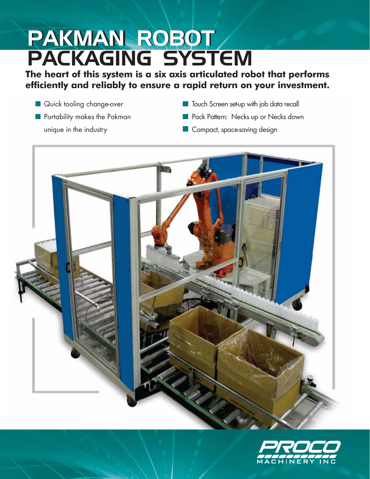# PAKMAN ROBOT PACKAGING SYSTEM

### **The heart of this system is a six axis articulated robot that performs efficiently and reliably to ensure a rapid return on your investment.**

- **Quick tooling change-over**
- **Portability makes the Pakman** unique in the industry
- **Touch Screen set-up with job data recall**
- **Pack Pattern: Necks up or Necks down**
- **Compact, space-saving design**